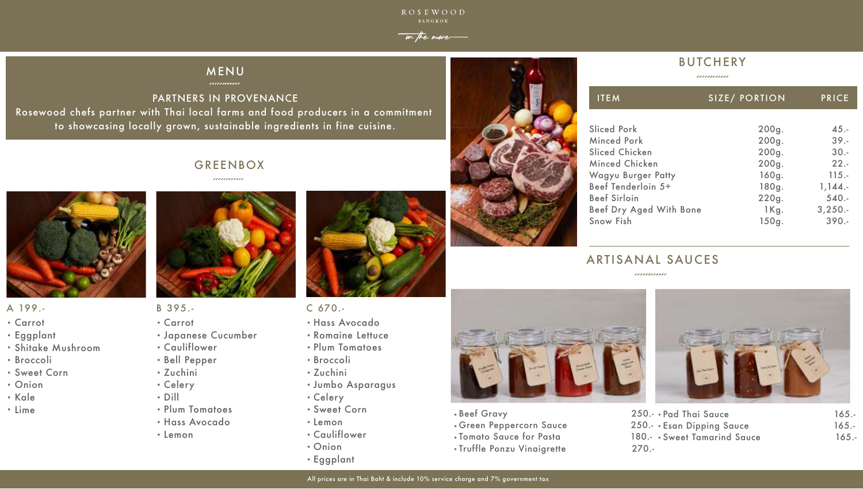# A 199.- B 395.-

- . . . . . .<br>• Carrot
- Carror<br>• Eggplant
- Lyypiam<br>• Shitake Mushroom
- · Broccoli
- Sweet Corn
- **CONCO**<br>Compare .
- · Oilic<br>• Kale
- · Kule<br>• Lime



- 
- . Carrot
- . Japanese Cucumber
- . Cauliflower
- . Bell Pepper
- . Zuchini
- . Celery
- . Dill
- . Plum Tomatoes
- . Hass Avocado
- . Lemon



- C 670.-
- . Hass Avocado
- . Romaine Lettuce
- . Plum Tomatoes
- . Broccoli
- . Zuchini
- . Jumbo Asparagus
- . Celery
- . Sweet Corn
- . Lemon
- . Cauliflower
- . Onion
- . Eggplant







PARTNERS IN PROVENANCE Rosewood chefs partner with Thai local farms and food producers in a commitment to showcasing locally grown, sustainable ingredients in fine cuisine.

# GREENBOX

,,,,,,,,,,,,



**ROSEWOOD** 

# MENU

| <b>ITEM</b>                    | SIZE/ PORTION | <b>PRICE</b> |
|--------------------------------|---------------|--------------|
| <b>Sliced Pork</b>             | 200g.         | $45. -$      |
| <b>Minced Pork</b>             | 200g.         | $39. -$      |
| <b>Sliced Chicken</b>          | 200g.         | $30. -$      |
| Minced Chicken                 | 200g.         | $22 -$       |
| <b>Wagyu Burger Patty</b>      | 160g.         | $115. -$     |
| Beef Tenderloin 5+             | 180g.         | 1,144.       |
| <b>Beef Sirloin</b>            | 220g.         | $540. -$     |
| <b>Beef Dry Aged With Bone</b> | $1$ Kg.       | 3,250.       |
| <b>Snow Fish</b>               | 150g.         | $390 -$      |

# ARTISANAL SAUCES

,,,,,,,,,,,,

- . Beef Gravy 250.-
- . Green Peppercorn Sauce 250.-
- . Tomato Sauce for Pasta 180.-
- . Truffle Ponzu Vinaigrette 270.-

| 250.- • Pad Thai Sauce       | $165 -$ |
|------------------------------|---------|
| 250.- Esan Dipping Sauce     | $165 -$ |
| 180.- • Sweet Tamarind Sauce | $165 -$ |
| $270 -$                      |         |

# on the move

# **BUTCHERY**

,,,,,,,,,,,,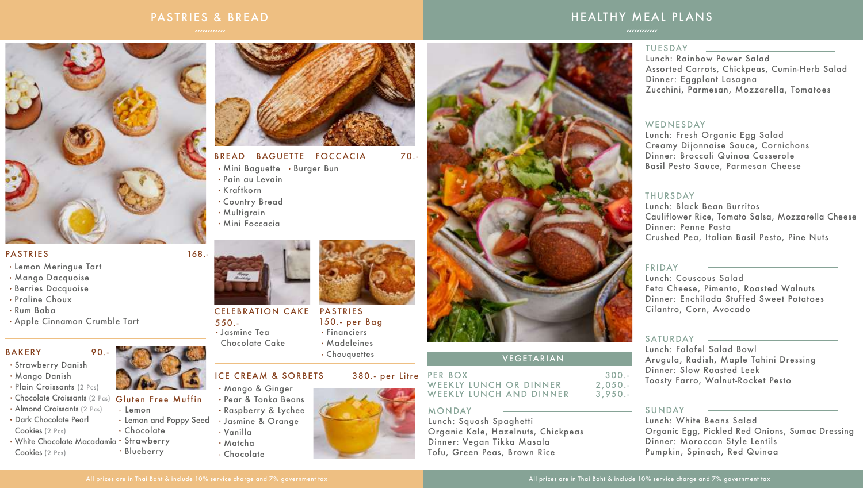### PASTRIES & BREAD



#### PASTRIES 168.-

- Lemon
- Lemon and Poppy Seed
- Chocolate
- 
- Blueberry



- Strawberry Danish
- Mango Danish
- · Plain Croissants (2 Pcs)
- Chocolate Croissants (2 Pcs) Gluten Free Muffin
- Almond Croissants (2 Pcs) Dark Chocolate Pearl
- Cookies (2 Pcs)
- White Chocolate Macadamia Strawberry Cookies (2 Pcs)



- BREAD BAGUETTE FOCCACIA 70.-
- Mini Baguette Burger Bun
- Pain au Levain
- Kraftkorn
- Country Bread
- · Multigrain
- Mini Foccacia



#### CELEBRATION CAKE PASTRIES 550.- 150.- per Bag

- Lemon Meringue Tart
- Mango Dacquoise
- **· Berries Dacquoise**
- Praline Choux
- Rum Baba
- Apple Cinnamon Crumble Tart

#### BAKERY 90.-

- Jasmine Tea
- Chocolate Cake

### **ICE CREAM & SORBETS**

- Financiers
- Madeleines
- Chouquettes

#### 380.- per Litre PER BOX



- Mango & Ginger
- Pear & Tonka Beans
- Raspberry & Lychee
- Jasmine & Orange
- Vanilla
- Matcha
- Chocolate



# HEALTHY MEAL PLANS

#### MONDAY

Lunch: Squash Spaghetti Organic Kale, Hazelnuts, Chickpeas Dinner: Vegan Tikka Masala Tofu, Green Peas, Brown Rice

#### TUESDAY

Lunch: Rainbow Power Salad Assorted Carrots, Chickpeas, Cumin-Herb Salad Dinner: Eggplant Lasagna Zucchini, Parmesan, Mozzarella, Tomatoes

#### WEDNESDAY-

Lunch: Fresh Organic Egg Salad Creamy Dijonnaise Sauce, Cornichons Dinner: Broccoli Quinoa Casserole Basil Pesto Sauce, Parmesan Cheese

#### THURSDAY

Lunch: Black Bean Burritos Cauliflower Rice, Tomato Salsa, Mozzarella Cheese Dinner: Penne Pasta Crushed Pea, Italian Basil Pesto, Pine Nuts

#### FRIDAY

Lunch: Couscous Salad Feta Cheese, Pimento, Roasted Walnuts Dinner: Enchilada Stuffed Sweet Potatoes Cilantro, Corn, Avocado

#### SATURDAY

Lunch: Falafel Salad Bowl Arugula, Radish, Maple Tahini Dressing Dinner: Slow Roasted Leek Toasty Farro, Walnut-Rocket Pesto

#### SUNDAY

Lunch: White Beans Salad Organic Egg, Pickled Red Onions, Sumac Dressing Dinner: Moroccan Style Lentils Pumpkin, Spinach, Red Quinoa

WEEKLY LUNCH OR DINNER WEEKLY LUNCH AND DINNER

#### 300.- 2,050.- 3,950.-